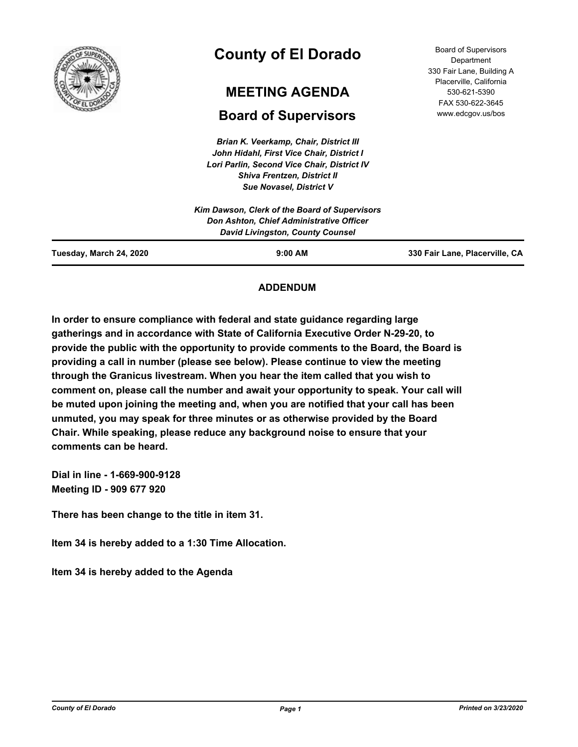

# **County of El Dorado**

## **MEETING AGENDA**

## **Board of Supervisors**

*Brian K. Veerkamp, Chair, District III John Hidahl, First Vice Chair, District I Lori Parlin, Second Vice Chair, District IV Shiva Frentzen, District II Sue Novasel, District V*

Board of Supervisors **Department** 330 Fair Lane, Building A Placerville, California 530-621-5390 FAX 530-622-3645 www.edcgov.us/bos

|                         | ___________________                           |                                |
|-------------------------|-----------------------------------------------|--------------------------------|
|                         | Kim Dawson, Clerk of the Board of Supervisors |                                |
|                         | Don Ashton, Chief Administrative Officer      |                                |
|                         | <b>David Livingston, County Counsel</b>       |                                |
| Tuesday, March 24, 2020 | $9:00$ AM                                     | 330 Fair Lane, Placerville, CA |

## **ADDENDUM**

**In order to ensure compliance with federal and state guidance regarding large gatherings and in accordance with State of California Executive Order N-29-20, to provide the public with the opportunity to provide comments to the Board, the Board is providing a call in number (please see below). Please continue to view the meeting through the Granicus livestream. When you hear the item called that you wish to comment on, please call the number and await your opportunity to speak. Your call will be muted upon joining the meeting and, when you are notified that your call has been unmuted, you may speak for three minutes or as otherwise provided by the Board Chair. While speaking, please reduce any background noise to ensure that your comments can be heard.** 

**Dial in line - 1-669-900-9128 Meeting ID - 909 677 920**

**There has been change to the title in item 31.**

**Item 34 is hereby added to a 1:30 Time Allocation.**

**Item 34 is hereby added to the Agenda**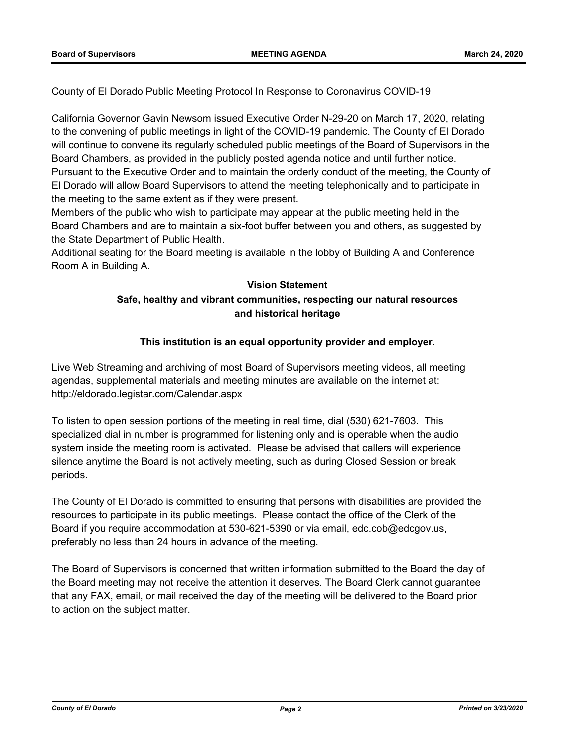County of El Dorado Public Meeting Protocol In Response to Coronavirus COVID-19

California Governor Gavin Newsom issued Executive Order N-29-20 on March 17, 2020, relating to the convening of public meetings in light of the COVID-19 pandemic. The County of El Dorado will continue to convene its regularly scheduled public meetings of the Board of Supervisors in the Board Chambers, as provided in the publicly posted agenda notice and until further notice. Pursuant to the Executive Order and to maintain the orderly conduct of the meeting, the County of El Dorado will allow Board Supervisors to attend the meeting telephonically and to participate in the meeting to the same extent as if they were present.

Members of the public who wish to participate may appear at the public meeting held in the Board Chambers and are to maintain a six-foot buffer between you and others, as suggested by the State Department of Public Health.

Additional seating for the Board meeting is available in the lobby of Building A and Conference Room A in Building A.

## **Vision Statement**

## **Safe, healthy and vibrant communities, respecting our natural resources and historical heritage**

### **This institution is an equal opportunity provider and employer.**

Live Web Streaming and archiving of most Board of Supervisors meeting videos, all meeting agendas, supplemental materials and meeting minutes are available on the internet at: http://eldorado.legistar.com/Calendar.aspx

To listen to open session portions of the meeting in real time, dial (530) 621-7603. This specialized dial in number is programmed for listening only and is operable when the audio system inside the meeting room is activated. Please be advised that callers will experience silence anytime the Board is not actively meeting, such as during Closed Session or break periods.

The County of El Dorado is committed to ensuring that persons with disabilities are provided the resources to participate in its public meetings. Please contact the office of the Clerk of the Board if you require accommodation at 530-621-5390 or via email, edc.cob@edcgov.us, preferably no less than 24 hours in advance of the meeting.

The Board of Supervisors is concerned that written information submitted to the Board the day of the Board meeting may not receive the attention it deserves. The Board Clerk cannot guarantee that any FAX, email, or mail received the day of the meeting will be delivered to the Board prior to action on the subject matter.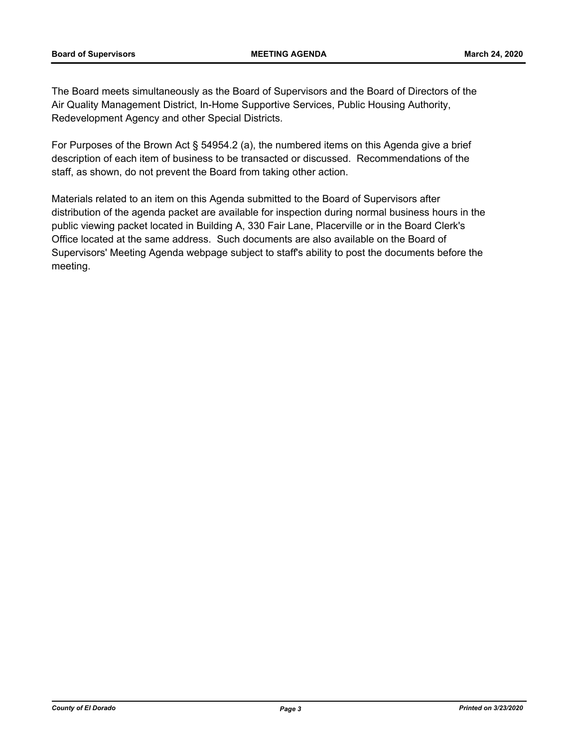The Board meets simultaneously as the Board of Supervisors and the Board of Directors of the Air Quality Management District, In-Home Supportive Services, Public Housing Authority, Redevelopment Agency and other Special Districts.

For Purposes of the Brown Act § 54954.2 (a), the numbered items on this Agenda give a brief description of each item of business to be transacted or discussed. Recommendations of the staff, as shown, do not prevent the Board from taking other action.

Materials related to an item on this Agenda submitted to the Board of Supervisors after distribution of the agenda packet are available for inspection during normal business hours in the public viewing packet located in Building A, 330 Fair Lane, Placerville or in the Board Clerk's Office located at the same address. Such documents are also available on the Board of Supervisors' Meeting Agenda webpage subject to staff's ability to post the documents before the meeting.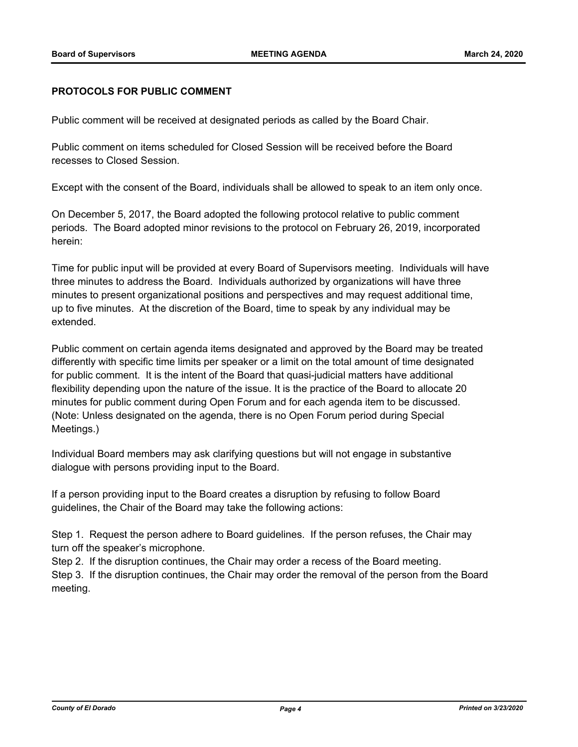#### **PROTOCOLS FOR PUBLIC COMMENT**

Public comment will be received at designated periods as called by the Board Chair.

Public comment on items scheduled for Closed Session will be received before the Board recesses to Closed Session.

Except with the consent of the Board, individuals shall be allowed to speak to an item only once.

On December 5, 2017, the Board adopted the following protocol relative to public comment periods. The Board adopted minor revisions to the protocol on February 26, 2019, incorporated herein:

Time for public input will be provided at every Board of Supervisors meeting. Individuals will have three minutes to address the Board. Individuals authorized by organizations will have three minutes to present organizational positions and perspectives and may request additional time, up to five minutes. At the discretion of the Board, time to speak by any individual may be extended.

Public comment on certain agenda items designated and approved by the Board may be treated differently with specific time limits per speaker or a limit on the total amount of time designated for public comment. It is the intent of the Board that quasi-judicial matters have additional flexibility depending upon the nature of the issue. It is the practice of the Board to allocate 20 minutes for public comment during Open Forum and for each agenda item to be discussed. (Note: Unless designated on the agenda, there is no Open Forum period during Special Meetings.)

Individual Board members may ask clarifying questions but will not engage in substantive dialogue with persons providing input to the Board.

If a person providing input to the Board creates a disruption by refusing to follow Board guidelines, the Chair of the Board may take the following actions:

Step 1. Request the person adhere to Board guidelines. If the person refuses, the Chair may turn off the speaker's microphone.

Step 2. If the disruption continues, the Chair may order a recess of the Board meeting.

Step 3. If the disruption continues, the Chair may order the removal of the person from the Board meeting.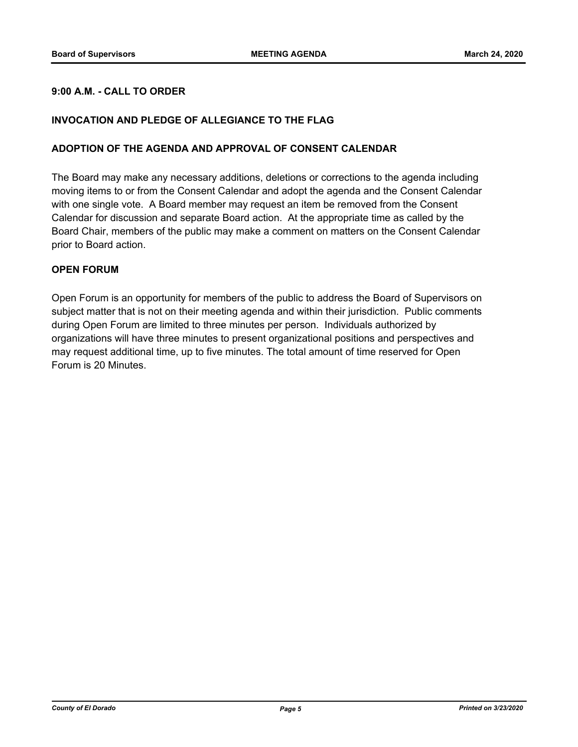#### **9:00 A.M. - CALL TO ORDER**

#### **INVOCATION AND PLEDGE OF ALLEGIANCE TO THE FLAG**

#### **ADOPTION OF THE AGENDA AND APPROVAL OF CONSENT CALENDAR**

The Board may make any necessary additions, deletions or corrections to the agenda including moving items to or from the Consent Calendar and adopt the agenda and the Consent Calendar with one single vote. A Board member may request an item be removed from the Consent Calendar for discussion and separate Board action. At the appropriate time as called by the Board Chair, members of the public may make a comment on matters on the Consent Calendar prior to Board action.

#### **OPEN FORUM**

Open Forum is an opportunity for members of the public to address the Board of Supervisors on subject matter that is not on their meeting agenda and within their jurisdiction. Public comments during Open Forum are limited to three minutes per person. Individuals authorized by organizations will have three minutes to present organizational positions and perspectives and may request additional time, up to five minutes. The total amount of time reserved for Open Forum is 20 Minutes.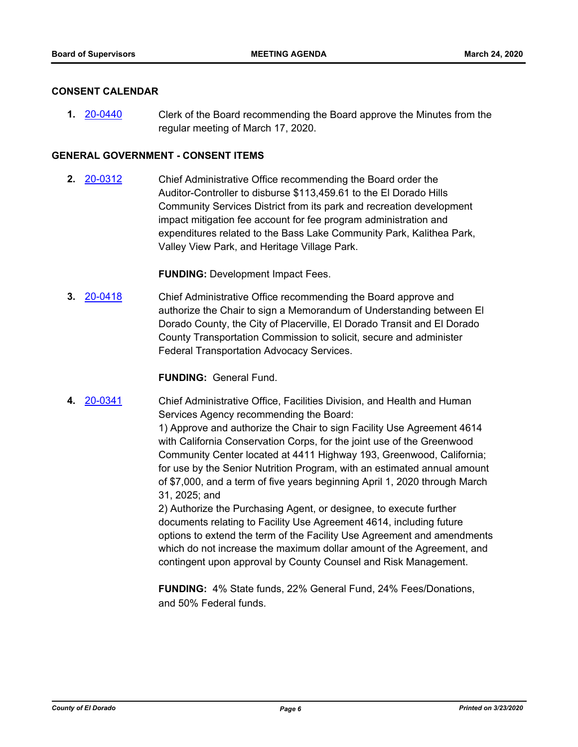#### **CONSENT CALENDAR**

**1.** [20-0440](http://eldorado.legistar.com/gateway.aspx?m=l&id=/matter.aspx?key=27646) Clerk of the Board recommending the Board approve the Minutes from the regular meeting of March 17, 2020.

#### **GENERAL GOVERNMENT - CONSENT ITEMS**

**2.** [20-0312](http://eldorado.legistar.com/gateway.aspx?m=l&id=/matter.aspx?key=27517) Chief Administrative Office recommending the Board order the Auditor-Controller to disburse \$113,459.61 to the El Dorado Hills Community Services District from its park and recreation development impact mitigation fee account for fee program administration and expenditures related to the Bass Lake Community Park, Kalithea Park, Valley View Park, and Heritage Village Park.

#### **FUNDING:** Development Impact Fees.

**3.** [20-0418](http://eldorado.legistar.com/gateway.aspx?m=l&id=/matter.aspx?key=27624) Chief Administrative Office recommending the Board approve and authorize the Chair to sign a Memorandum of Understanding between El Dorado County, the City of Placerville, El Dorado Transit and El Dorado County Transportation Commission to solicit, secure and administer Federal Transportation Advocacy Services.

**FUNDING:** General Fund.

**4.** [20-0341](http://eldorado.legistar.com/gateway.aspx?m=l&id=/matter.aspx?key=27546) Chief Administrative Office, Facilities Division, and Health and Human Services Agency recommending the Board:

> 1) Approve and authorize the Chair to sign Facility Use Agreement 4614 with California Conservation Corps, for the joint use of the Greenwood Community Center located at 4411 Highway 193, Greenwood, California; for use by the Senior Nutrition Program, with an estimated annual amount of \$7,000, and a term of five years beginning April 1, 2020 through March 31, 2025; and

2) Authorize the Purchasing Agent, or designee, to execute further documents relating to Facility Use Agreement 4614, including future options to extend the term of the Facility Use Agreement and amendments which do not increase the maximum dollar amount of the Agreement, and contingent upon approval by County Counsel and Risk Management.

**FUNDING:** 4% State funds, 22% General Fund, 24% Fees/Donations, and 50% Federal funds.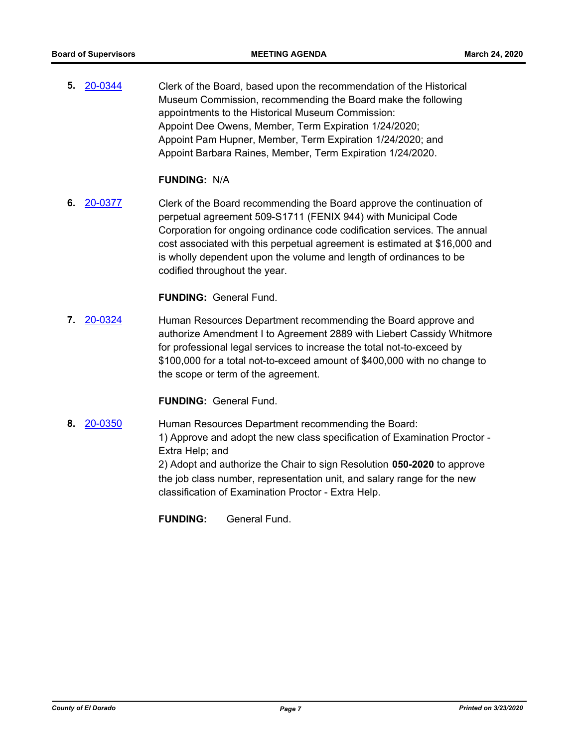**5.** [20-0344](http://eldorado.legistar.com/gateway.aspx?m=l&id=/matter.aspx?key=27549) Clerk of the Board, based upon the recommendation of the Historical Museum Commission, recommending the Board make the following appointments to the Historical Museum Commission: Appoint Dee Owens, Member, Term Expiration 1/24/2020; Appoint Pam Hupner, Member, Term Expiration 1/24/2020; and Appoint Barbara Raines, Member, Term Expiration 1/24/2020.

#### **FUNDING:** N/A

**6.** [20-0377](http://eldorado.legistar.com/gateway.aspx?m=l&id=/matter.aspx?key=27582) Clerk of the Board recommending the Board approve the continuation of perpetual agreement 509-S1711 (FENIX 944) with Municipal Code Corporation for ongoing ordinance code codification services. The annual cost associated with this perpetual agreement is estimated at \$16,000 and is wholly dependent upon the volume and length of ordinances to be codified throughout the year.

#### **FUNDING:** General Fund.

**7.** [20-0324](http://eldorado.legistar.com/gateway.aspx?m=l&id=/matter.aspx?key=27529) Human Resources Department recommending the Board approve and authorize Amendment I to Agreement 2889 with Liebert Cassidy Whitmore for professional legal services to increase the total not-to-exceed by \$100,000 for a total not-to-exceed amount of \$400,000 with no change to the scope or term of the agreement.

#### **FUNDING:** General Fund.

**8.** [20-0350](http://eldorado.legistar.com/gateway.aspx?m=l&id=/matter.aspx?key=27555) Human Resources Department recommending the Board: 1) Approve and adopt the new class specification of Examination Proctor - Extra Help; and 2) Adopt and authorize the Chair to sign Resolution **050-2020** to approve the job class number, representation unit, and salary range for the new classification of Examination Proctor - Extra Help.

**FUNDING:** General Fund.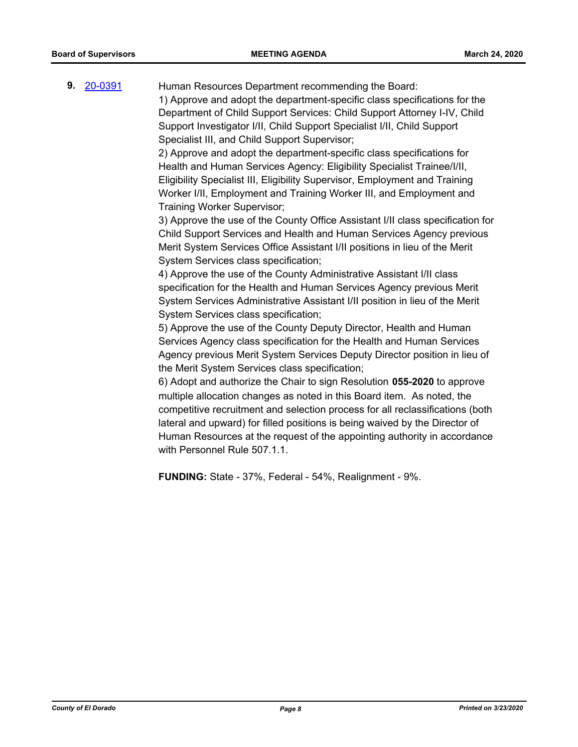**9.** [20-0391](http://eldorado.legistar.com/gateway.aspx?m=l&id=/matter.aspx?key=27596) Human Resources Department recommending the Board: 1) Approve and adopt the department-specific class specifications for the

Department of Child Support Services: Child Support Attorney I-IV, Child Support Investigator I/II, Child Support Specialist I/II, Child Support Specialist III, and Child Support Supervisor;

2) Approve and adopt the department-specific class specifications for Health and Human Services Agency: Eligibility Specialist Trainee/I/II, Eligibility Specialist III, Eligibility Supervisor, Employment and Training Worker I/II, Employment and Training Worker III, and Employment and Training Worker Supervisor;

3) Approve the use of the County Office Assistant I/II class specification for Child Support Services and Health and Human Services Agency previous Merit System Services Office Assistant I/II positions in lieu of the Merit System Services class specification;

4) Approve the use of the County Administrative Assistant I/II class specification for the Health and Human Services Agency previous Merit System Services Administrative Assistant I/II position in lieu of the Merit System Services class specification;

5) Approve the use of the County Deputy Director, Health and Human Services Agency class specification for the Health and Human Services Agency previous Merit System Services Deputy Director position in lieu of the Merit System Services class specification;

6) Adopt and authorize the Chair to sign Resolution **055-2020** to approve multiple allocation changes as noted in this Board item. As noted, the competitive recruitment and selection process for all reclassifications (both lateral and upward) for filled positions is being waived by the Director of Human Resources at the request of the appointing authority in accordance with Personnel Rule 507.1.1.

**FUNDING:** State - 37%, Federal - 54%, Realignment - 9%.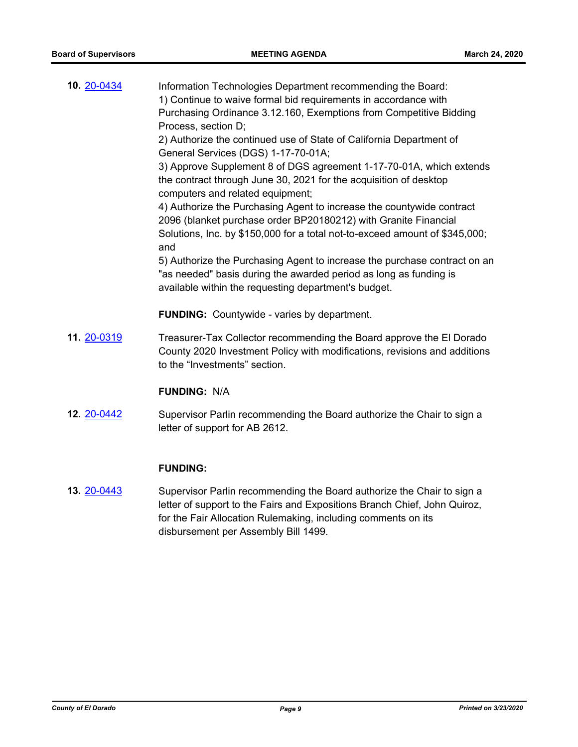| 10. 20-0434        | Information Technologies Department recommending the Board:<br>1) Continue to waive formal bid requirements in accordance with<br>Purchasing Ordinance 3.12.160, Exemptions from Competitive Bidding<br>Process, section D;<br>2) Authorize the continued use of State of California Department of<br>General Services (DGS) 1-17-70-01A;<br>3) Approve Supplement 8 of DGS agreement 1-17-70-01A, which extends<br>the contract through June 30, 2021 for the acquisition of desktop<br>computers and related equipment;<br>4) Authorize the Purchasing Agent to increase the countywide contract<br>2096 (blanket purchase order BP20180212) with Granite Financial<br>Solutions, Inc. by \$150,000 for a total not-to-exceed amount of \$345,000;<br>and<br>5) Authorize the Purchasing Agent to increase the purchase contract on an<br>"as needed" basis during the awarded period as long as funding is<br>available within the requesting department's budget.<br><b>FUNDING:</b> Countywide - varies by department. |
|--------------------|-----------------------------------------------------------------------------------------------------------------------------------------------------------------------------------------------------------------------------------------------------------------------------------------------------------------------------------------------------------------------------------------------------------------------------------------------------------------------------------------------------------------------------------------------------------------------------------------------------------------------------------------------------------------------------------------------------------------------------------------------------------------------------------------------------------------------------------------------------------------------------------------------------------------------------------------------------------------------------------------------------------------------------|
| 11. 20-0319        | Treasurer-Tax Collector recommending the Board approve the El Dorado<br>County 2020 Investment Policy with modifications, revisions and additions<br>to the "Investments" section.                                                                                                                                                                                                                                                                                                                                                                                                                                                                                                                                                                                                                                                                                                                                                                                                                                          |
|                    | <b>FUNDING: N/A</b>                                                                                                                                                                                                                                                                                                                                                                                                                                                                                                                                                                                                                                                                                                                                                                                                                                                                                                                                                                                                         |
| <b>12. 20-0442</b> | Supervisor Parlin recommending the Board authorize the Chair to sign a<br>letter of support for AB 2612.                                                                                                                                                                                                                                                                                                                                                                                                                                                                                                                                                                                                                                                                                                                                                                                                                                                                                                                    |
|                    |                                                                                                                                                                                                                                                                                                                                                                                                                                                                                                                                                                                                                                                                                                                                                                                                                                                                                                                                                                                                                             |

#### **FUNDING:**

**13.** [20-0443](http://eldorado.legistar.com/gateway.aspx?m=l&id=/matter.aspx?key=27649) Supervisor Parlin recommending the Board authorize the Chair to sign a letter of support to the Fairs and Expositions Branch Chief, John Quiroz, for the Fair Allocation Rulemaking, including comments on its disbursement per Assembly Bill 1499.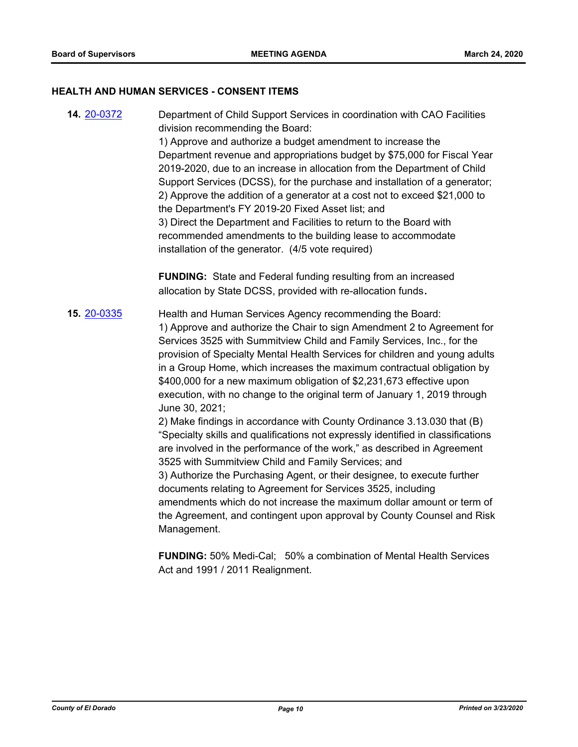#### **HEALTH AND HUMAN SERVICES - CONSENT ITEMS**

**14.** [20-0372](http://eldorado.legistar.com/gateway.aspx?m=l&id=/matter.aspx?key=27577) Department of Child Support Services in coordination with CAO Facilities division recommending the Board: 1) Approve and authorize a budget amendment to increase the Department revenue and appropriations budget by \$75,000 for Fiscal Year 2019-2020, due to an increase in allocation from the Department of Child Support Services (DCSS), for the purchase and installation of a generator; 2) Approve the addition of a generator at a cost not to exceed \$21,000 to the Department's FY 2019-20 Fixed Asset list; and 3) Direct the Department and Facilities to return to the Board with recommended amendments to the building lease to accommodate installation of the generator. (4/5 vote required)

> **FUNDING:** State and Federal funding resulting from an increased allocation by State DCSS, provided with re-allocation funds**.**

## **15.** [20-0335](http://eldorado.legistar.com/gateway.aspx?m=l&id=/matter.aspx?key=27540) Health and Human Services Agency recommending the Board: 1) Approve and authorize the Chair to sign Amendment 2 to Agreement for Services 3525 with Summitview Child and Family Services, Inc., for the provision of Specialty Mental Health Services for children and young adults in a Group Home, which increases the maximum contractual obligation by \$400,000 for a new maximum obligation of \$2,231,673 effective upon execution, with no change to the original term of January 1, 2019 through June 30, 2021;

2) Make findings in accordance with County Ordinance 3.13.030 that (B) "Specialty skills and qualifications not expressly identified in classifications are involved in the performance of the work," as described in Agreement 3525 with Summitview Child and Family Services; and 3) Authorize the Purchasing Agent, or their designee, to execute further documents relating to Agreement for Services 3525, including amendments which do not increase the maximum dollar amount or term of the Agreement, and contingent upon approval by County Counsel and Risk Management.

**FUNDING:** 50% Medi-Cal; 50% a combination of Mental Health Services Act and 1991 / 2011 Realignment.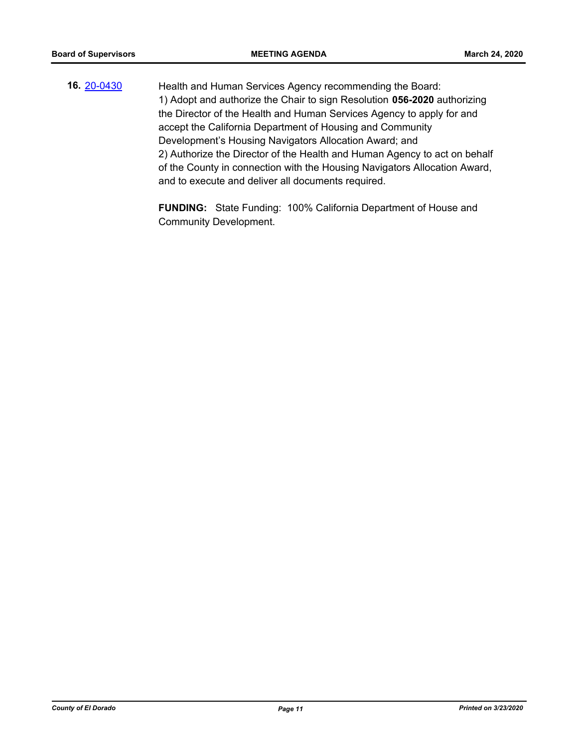**16.** [20-0430](http://eldorado.legistar.com/gateway.aspx?m=l&id=/matter.aspx?key=27636) Health and Human Services Agency recommending the Board: 1) Adopt and authorize the Chair to sign Resolution **056-2020** authorizing the Director of the Health and Human Services Agency to apply for and accept the California Department of Housing and Community Development's Housing Navigators Allocation Award; and 2) Authorize the Director of the Health and Human Agency to act on behalf of the County in connection with the Housing Navigators Allocation Award, and to execute and deliver all documents required.

> **FUNDING:** State Funding: 100% California Department of House and Community Development.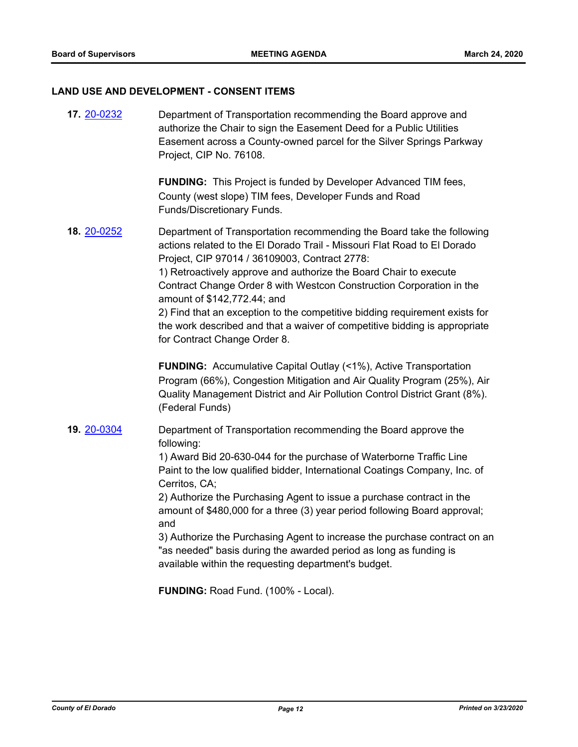#### **LAND USE AND DEVELOPMENT - CONSENT ITEMS**

| 17. 20-0232 | Department of Transportation recommending the Board approve and<br>authorize the Chair to sign the Easement Deed for a Public Utilities<br>Easement across a County-owned parcel for the Silver Springs Parkway<br>Project, CIP No. 76108.                                                                                                                                                                                                                                                                                                                                                                                 |
|-------------|----------------------------------------------------------------------------------------------------------------------------------------------------------------------------------------------------------------------------------------------------------------------------------------------------------------------------------------------------------------------------------------------------------------------------------------------------------------------------------------------------------------------------------------------------------------------------------------------------------------------------|
|             | <b>FUNDING:</b> This Project is funded by Developer Advanced TIM fees,<br>County (west slope) TIM fees, Developer Funds and Road<br>Funds/Discretionary Funds.                                                                                                                                                                                                                                                                                                                                                                                                                                                             |
| 18. 20-0252 | Department of Transportation recommending the Board take the following<br>actions related to the El Dorado Trail - Missouri Flat Road to El Dorado<br>Project, CIP 97014 / 36109003, Contract 2778:<br>1) Retroactively approve and authorize the Board Chair to execute<br>Contract Change Order 8 with Westcon Construction Corporation in the<br>amount of \$142,772.44; and<br>2) Find that an exception to the competitive bidding requirement exists for<br>the work described and that a waiver of competitive bidding is appropriate<br>for Contract Change Order 8.                                               |
|             | <b>FUNDING:</b> Accumulative Capital Outlay (<1%), Active Transportation<br>Program (66%), Congestion Mitigation and Air Quality Program (25%), Air<br>Quality Management District and Air Pollution Control District Grant (8%).<br>(Federal Funds)                                                                                                                                                                                                                                                                                                                                                                       |
| 19. 20-0304 | Department of Transportation recommending the Board approve the<br>following:<br>1) Award Bid 20-630-044 for the purchase of Waterborne Traffic Line<br>Paint to the low qualified bidder, International Coatings Company, Inc. of<br>Cerritos, CA;<br>2) Authorize the Purchasing Agent to issue a purchase contract in the<br>amount of \$480,000 for a three (3) year period following Board approval;<br>and<br>3) Authorize the Purchasing Agent to increase the purchase contract on an<br>"as needed" basis during the awarded period as long as funding is<br>available within the requesting department's budget. |
|             | FUNDING: Road Fund. (100% - Local).                                                                                                                                                                                                                                                                                                                                                                                                                                                                                                                                                                                        |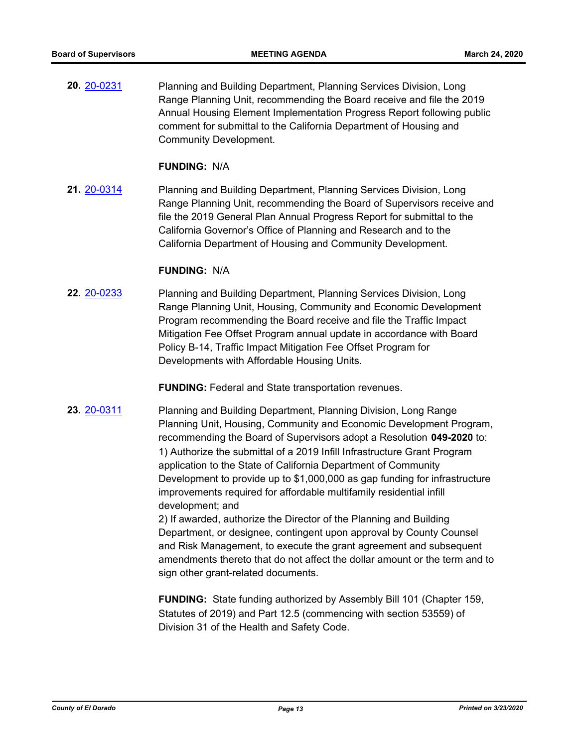**20.** [20-0231](http://eldorado.legistar.com/gateway.aspx?m=l&id=/matter.aspx?key=27436) Planning and Building Department, Planning Services Division, Long Range Planning Unit, recommending the Board receive and file the 2019 Annual Housing Element Implementation Progress Report following public comment for submittal to the California Department of Housing and Community Development.

#### **FUNDING:** N/A

**21.** [20-0314](http://eldorado.legistar.com/gateway.aspx?m=l&id=/matter.aspx?key=27519) Planning and Building Department, Planning Services Division, Long Range Planning Unit, recommending the Board of Supervisors receive and file the 2019 General Plan Annual Progress Report for submittal to the California Governor's Office of Planning and Research and to the California Department of Housing and Community Development.

#### **FUNDING:** N/A

**22.** [20-0233](http://eldorado.legistar.com/gateway.aspx?m=l&id=/matter.aspx?key=27438) Planning and Building Department, Planning Services Division, Long Range Planning Unit, Housing, Community and Economic Development Program recommending the Board receive and file the Traffic Impact Mitigation Fee Offset Program annual update in accordance with Board Policy B-14, Traffic Impact Mitigation Fee Offset Program for Developments with Affordable Housing Units.

**FUNDING:** Federal and State transportation revenues.

**23.** [20-0311](http://eldorado.legistar.com/gateway.aspx?m=l&id=/matter.aspx?key=27516) Planning and Building Department, Planning Division, Long Range Planning Unit, Housing, Community and Economic Development Program, recommending the Board of Supervisors adopt a Resolution **049-2020** to: 1) Authorize the submittal of a 2019 Infill Infrastructure Grant Program application to the State of California Department of Community Development to provide up to \$1,000,000 as gap funding for infrastructure improvements required for affordable multifamily residential infill development; and

2) If awarded, authorize the Director of the Planning and Building Department, or designee, contingent upon approval by County Counsel and Risk Management, to execute the grant agreement and subsequent amendments thereto that do not affect the dollar amount or the term and to sign other grant-related documents.

**FUNDING:** State funding authorized by Assembly Bill 101 (Chapter 159, Statutes of 2019) and Part 12.5 (commencing with section 53559) of Division 31 of the Health and Safety Code.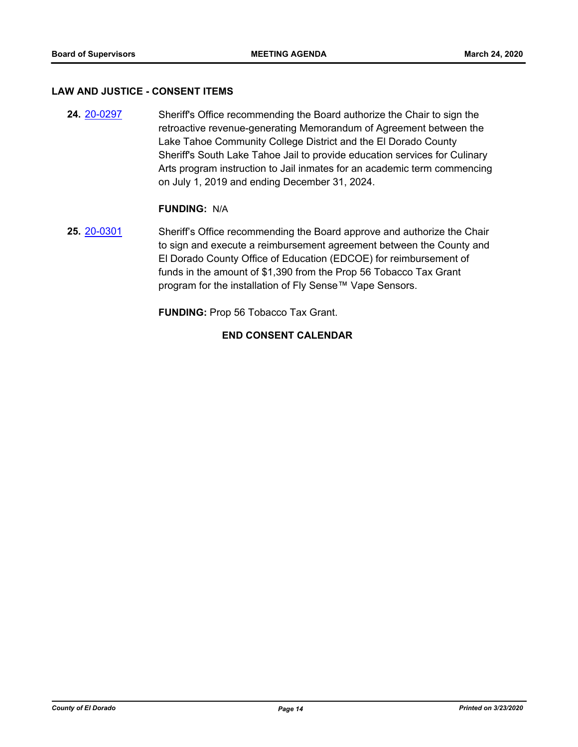#### **LAW AND JUSTICE - CONSENT ITEMS**

**24.** [20-0297](http://eldorado.legistar.com/gateway.aspx?m=l&id=/matter.aspx?key=27502) Sheriff's Office recommending the Board authorize the Chair to sign the retroactive revenue-generating Memorandum of Agreement between the Lake Tahoe Community College District and the El Dorado County Sheriff's South Lake Tahoe Jail to provide education services for Culinary Arts program instruction to Jail inmates for an academic term commencing on July 1, 2019 and ending December 31, 2024.

#### **FUNDING:** N/A

**25.** [20-0301](http://eldorado.legistar.com/gateway.aspx?m=l&id=/matter.aspx?key=27506) Sheriff's Office recommending the Board approve and authorize the Chair to sign and execute a reimbursement agreement between the County and El Dorado County Office of Education (EDCOE) for reimbursement of funds in the amount of \$1,390 from the Prop 56 Tobacco Tax Grant program for the installation of Fly Sense™ Vape Sensors.

**FUNDING:** Prop 56 Tobacco Tax Grant.

#### **END CONSENT CALENDAR**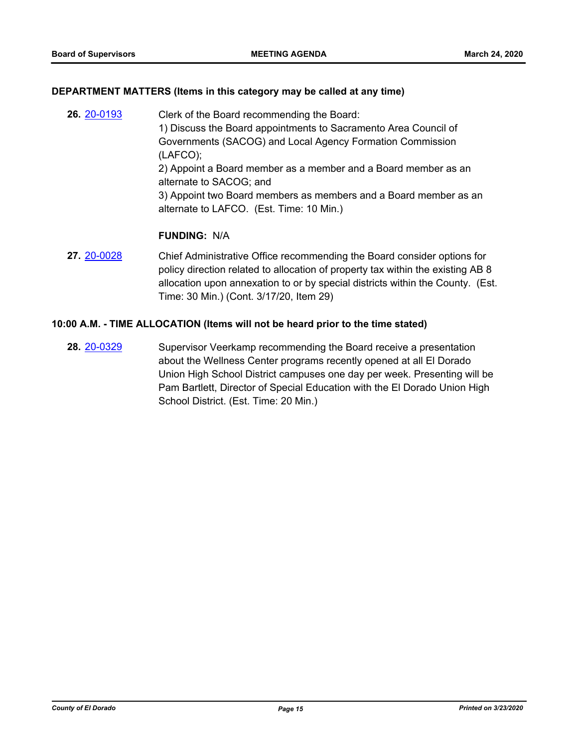#### **DEPARTMENT MATTERS (Items in this category may be called at any time)**

- **26.** [20-0193](http://eldorado.legistar.com/gateway.aspx?m=l&id=/matter.aspx?key=27398) Clerk of the Board recommending the Board: 1) Discuss the Board appointments to Sacramento Area Council of Governments (SACOG) and Local Agency Formation Commission (LAFCO); 2) Appoint a Board member as a member and a Board member as an alternate to SACOG; and 3) Appoint two Board members as members and a Board member as an alternate to LAFCO. (Est. Time: 10 Min.) **FUNDING:** N/A
- **27.** [20-0028](http://eldorado.legistar.com/gateway.aspx?m=l&id=/matter.aspx?key=27232) Chief Administrative Office recommending the Board consider options for policy direction related to allocation of property tax within the existing AB 8 allocation upon annexation to or by special districts within the County. (Est. Time: 30 Min.) (Cont. 3/17/20, Item 29)

#### **10:00 A.M. - TIME ALLOCATION (Items will not be heard prior to the time stated)**

**28.** [20-0329](http://eldorado.legistar.com/gateway.aspx?m=l&id=/matter.aspx?key=27534) Supervisor Veerkamp recommending the Board receive a presentation about the Wellness Center programs recently opened at all El Dorado Union High School District campuses one day per week. Presenting will be Pam Bartlett, Director of Special Education with the El Dorado Union High School District. (Est. Time: 20 Min.)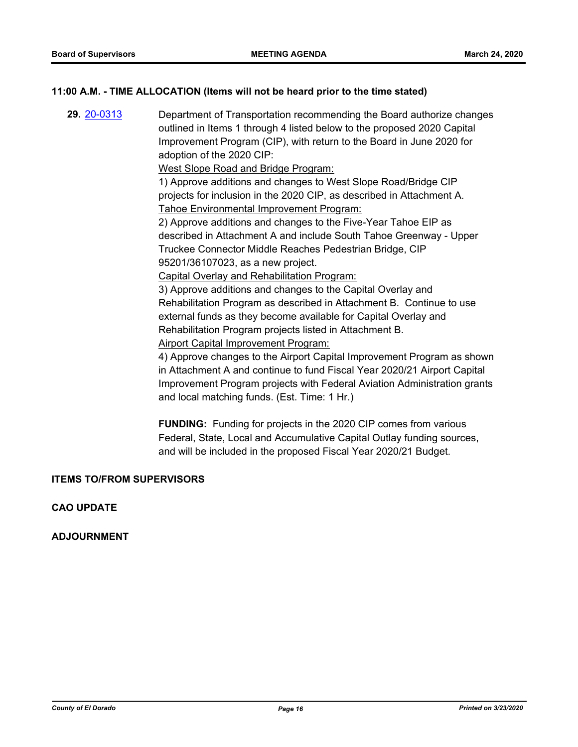#### **11:00 A.M. - TIME ALLOCATION (Items will not be heard prior to the time stated)**

**29.** [20-0313](http://eldorado.legistar.com/gateway.aspx?m=l&id=/matter.aspx?key=27518) Department of Transportation recommending the Board authorize changes outlined in Items 1 through 4 listed below to the proposed 2020 Capital Improvement Program (CIP), with return to the Board in June 2020 for adoption of the 2020 CIP: West Slope Road and Bridge Program:

> 1) Approve additions and changes to West Slope Road/Bridge CIP projects for inclusion in the 2020 CIP, as described in Attachment A. Tahoe Environmental Improvement Program:

2) Approve additions and changes to the Five-Year Tahoe EIP as described in Attachment A and include South Tahoe Greenway - Upper Truckee Connector Middle Reaches Pedestrian Bridge, CIP 95201/36107023, as a new project.

Capital Overlay and Rehabilitation Program:

3) Approve additions and changes to the Capital Overlay and Rehabilitation Program as described in Attachment B. Continue to use external funds as they become available for Capital Overlay and Rehabilitation Program projects listed in Attachment B. Airport Capital Improvement Program:

4) Approve changes to the Airport Capital Improvement Program as shown in Attachment A and continue to fund Fiscal Year 2020/21 Airport Capital Improvement Program projects with Federal Aviation Administration grants and local matching funds. (Est. Time: 1 Hr.)

**FUNDING:** Funding for projects in the 2020 CIP comes from various Federal, State, Local and Accumulative Capital Outlay funding sources, and will be included in the proposed Fiscal Year 2020/21 Budget.

#### **ITEMS TO/FROM SUPERVISORS**

**CAO UPDATE**

**ADJOURNMENT**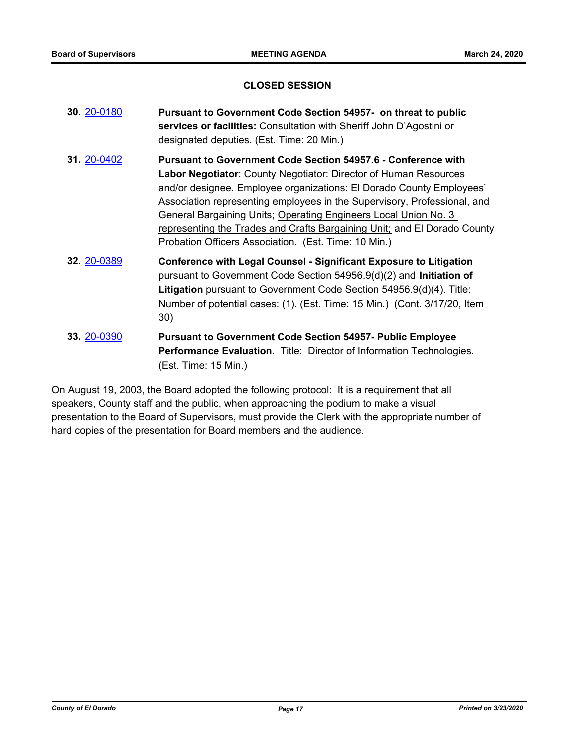#### **CLOSED SESSION**

| 30. 20-0180 | Pursuant to Government Code Section 54957- on threat to public<br>services or facilities: Consultation with Sheriff John D'Agostini or<br>designated deputies. (Est. Time: 20 Min.)                                                                                                                                                                                                                                                                                                                        |
|-------------|------------------------------------------------------------------------------------------------------------------------------------------------------------------------------------------------------------------------------------------------------------------------------------------------------------------------------------------------------------------------------------------------------------------------------------------------------------------------------------------------------------|
| 31. 20-0402 | <b>Pursuant to Government Code Section 54957.6 - Conference with</b><br><b>Labor Negotiator:</b> County Negotiator: Director of Human Resources<br>and/or designee. Employee organizations: El Dorado County Employees'<br>Association representing employees in the Supervisory, Professional, and<br>General Bargaining Units; Operating Engineers Local Union No. 3<br>representing the Trades and Crafts Bargaining Unit; and El Dorado County<br>Probation Officers Association. (Est. Time: 10 Min.) |
| 32. 20-0389 | <b>Conference with Legal Counsel - Significant Exposure to Litigation</b><br>pursuant to Government Code Section $54956.9(d)(2)$ and Initiation of<br>Litigation pursuant to Government Code Section 54956.9(d)(4). Title:<br>Number of potential cases: (1). (Est. Time: 15 Min.) (Cont. 3/17/20, Item<br>30)                                                                                                                                                                                             |
| 33. 20-0390 | <b>Pursuant to Government Code Section 54957- Public Employee</b><br><b>Performance Evaluation.</b> Title: Director of Information Technologies.<br>(Est. Time: 15 Min.)                                                                                                                                                                                                                                                                                                                                   |

On August 19, 2003, the Board adopted the following protocol: It is a requirement that all speakers, County staff and the public, when approaching the podium to make a visual presentation to the Board of Supervisors, must provide the Clerk with the appropriate number of hard copies of the presentation for Board members and the audience.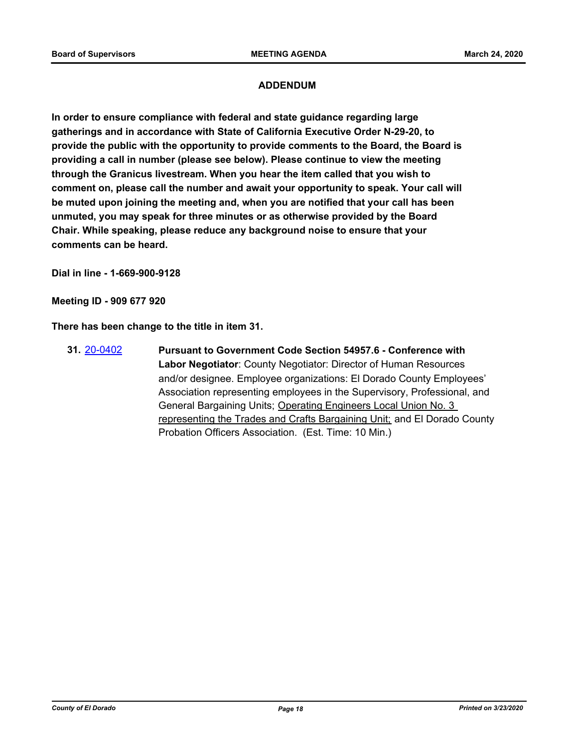### **ADDENDUM**

**In order to ensure compliance with federal and state guidance regarding large gatherings and in accordance with State of California Executive Order N-29-20, to provide the public with the opportunity to provide comments to the Board, the Board is providing a call in number (please see below). Please continue to view the meeting through the Granicus livestream. When you hear the item called that you wish to comment on, please call the number and await your opportunity to speak. Your call will be muted upon joining the meeting and, when you are notified that your call has been unmuted, you may speak for three minutes or as otherwise provided by the Board Chair. While speaking, please reduce any background noise to ensure that your comments can be heard.** 

**Dial in line - 1-669-900-9128**

**Meeting ID - 909 677 920**

**There has been change to the title in item 31.**

**31.** [20-0402](http://eldorado.legistar.com/gateway.aspx?m=l&id=/matter.aspx?key=27607) **Pursuant to Government Code Section 54957.6 - Conference with Labor Negotiator**: County Negotiator: Director of Human Resources and/or designee. Employee organizations: El Dorado County Employees' Association representing employees in the Supervisory, Professional, and General Bargaining Units; Operating Engineers Local Union No. 3 representing the Trades and Crafts Bargaining Unit; and El Dorado County Probation Officers Association. (Est. Time: 10 Min.)